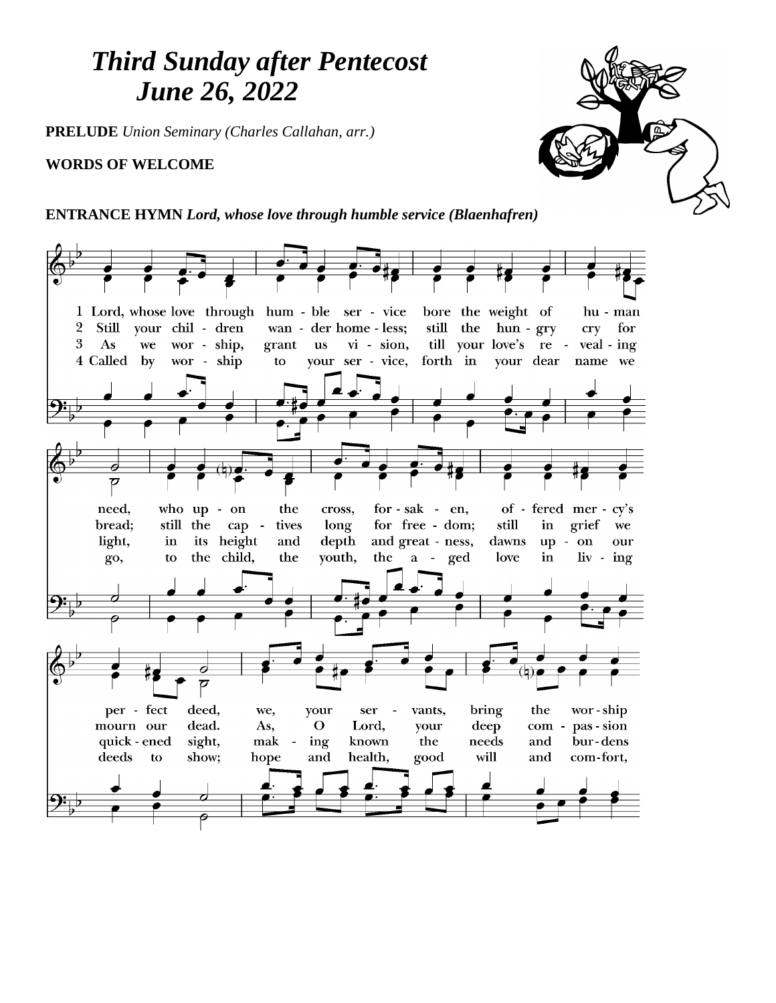# *Third Sunday after Pentecost June 26, 2022*

**PRELUDE** *Union Seminary (Charles Callahan, arr.)*

## **WORDS OF WELCOME**



#### **ENTRANCE HYMN** *Lord, whose love through humble service (Blaenhafren)*

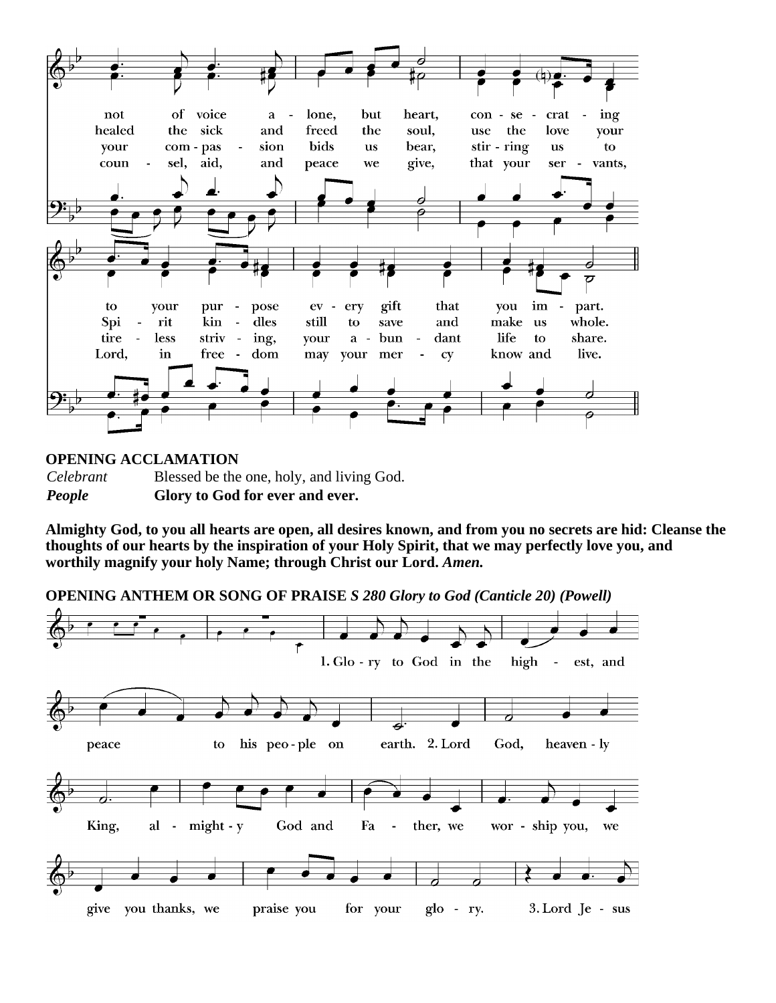

#### **OPENING ACCLAMATION**

*Celebrant* Blessed be the one, holy, and living God. *People* **Glory to God for ever and ever.**

**Almighty God, to you all hearts are open, all desires known, and from you no secrets are hid: Cleanse the thoughts of our hearts by the inspiration of your Holy Spirit, that we may perfectly love you, and worthily magnify your holy Name; through Christ our Lord.** *Amen.*

**OPENING ANTHEM OR SONG OF PRAISE** *S 280 Glory to God (Canticle 20) (Powell)*

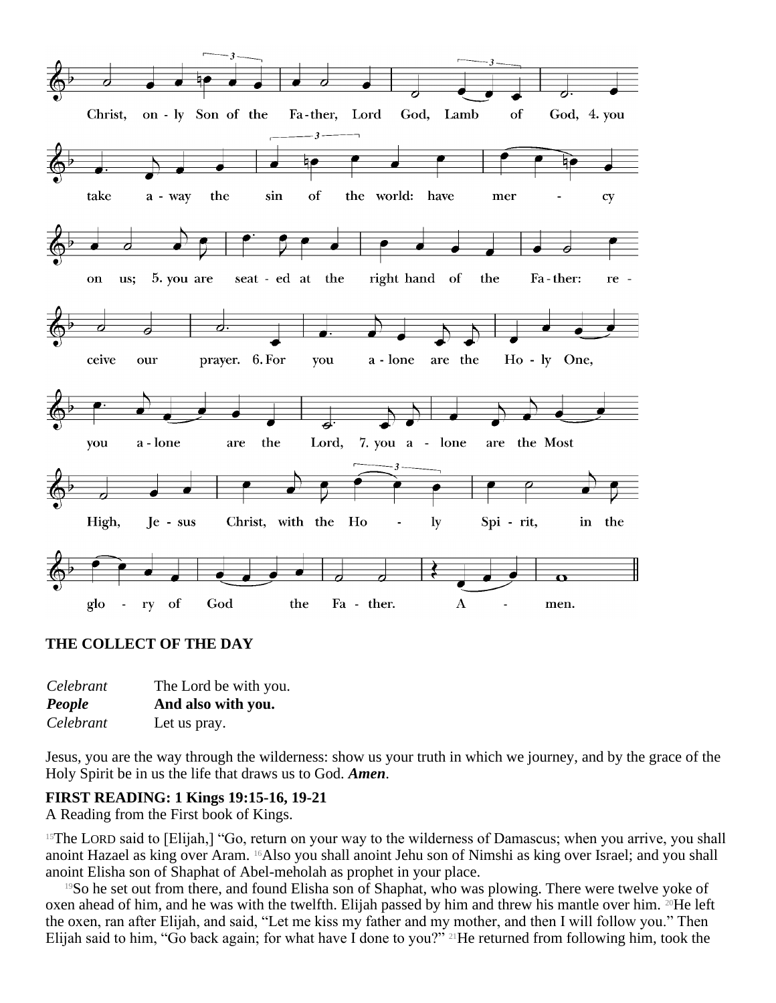

#### **THE COLLECT OF THE DAY**

| Celebrant | The Lord be with you. |
|-----------|-----------------------|
| People    | And also with you.    |
| Celebrant | Let us pray.          |

Jesus, you are the way through the wilderness: show us your truth in which we journey, and by the grace of the Holy Spirit be in us the life that draws us to God. *Amen*.

## **FIRST READING: 1 Kings 19:15-16, 19-21**

A Reading from the First book of Kings.

<sup>15</sup>The LORD said to [Elijah,] "Go, return on your way to the wilderness of Damascus; when you arrive, you shall anoint Hazael as king over Aram. 16Also you shall anoint Jehu son of Nimshi as king over Israel; and you shall anoint Elisha son of Shaphat of Abel-meholah as prophet in your place.

<sup>19</sup>So he set out from there, and found Elisha son of Shaphat, who was plowing. There were twelve yoke of oxen ahead of him, and he was with the twelfth. Elijah passed by him and threw his mantle over him. <sup>20</sup>He left the oxen, ran after Elijah, and said, "Let me kiss my father and my mother, and then I will follow you." Then Elijah said to him, "Go back again; for what have I done to you?" 21He returned from following him, took the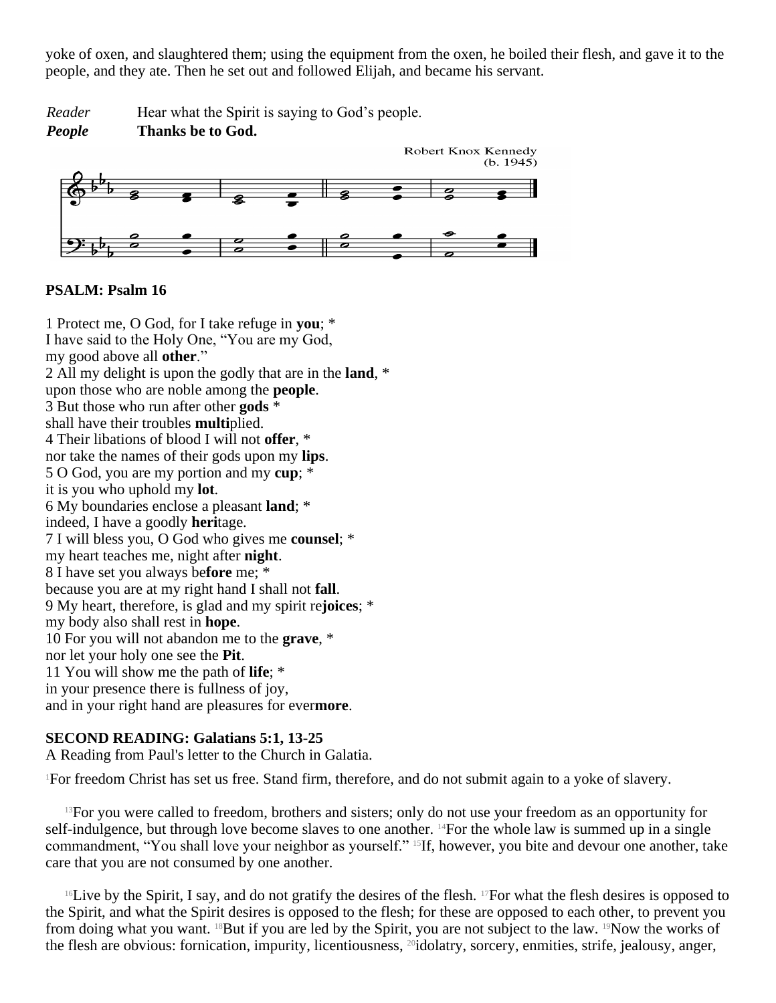yoke of oxen, and slaughtered them; using the equipment from the oxen, he boiled their flesh, and gave it to the people, and they ate. Then he set out and followed Elijah, and became his servant.

*Reader* Hear what the Spirit is saying to God's people. *People* **Thanks be to God.**





1 Protect me, O God, for I take refuge in **you**; \* I have said to the Holy One, "You are my God, my good above all **other**." 2 All my delight is upon the godly that are in the **land**, \* upon those who are noble among the **people**. 3 But those who run after other **gods** \* shall have their troubles **multi**plied. 4 Their libations of blood I will not **offer**, \* nor take the names of their gods upon my **lips**. 5 O God, you are my portion and my **cup**; \* it is you who uphold my **lot**. 6 My boundaries enclose a pleasant **land**; \* indeed, I have a goodly **heri**tage. 7 I will bless you, O God who gives me **counsel**; \* my heart teaches me, night after **night**. 8 I have set you always be**fore** me; \* because you are at my right hand I shall not **fall**. 9 My heart, therefore, is glad and my spirit re**joices**; \* my body also shall rest in **hope**. 10 For you will not abandon me to the **grave**, \* nor let your holy one see the **Pit**. 11 You will show me the path of **life**; \* in your presence there is fullness of joy, and in your right hand are pleasures for ever**more**.

## **SECOND READING: Galatians 5:1, 13-25**

A Reading from Paul's letter to the Church in Galatia.

<sup>1</sup>For freedom Christ has set us free. Stand firm, therefore, and do not submit again to a yoke of slavery.

 $13$  For you were called to freedom, brothers and sisters; only do not use your freedom as an opportunity for self-indulgence, but through love become slaves to one another. <sup>14</sup>For the whole law is summed up in a single commandment, "You shall love your neighbor as yourself." 15If, however, you bite and devour one another, take care that you are not consumed by one another.

<sup>16</sup>Live by the Spirit, I say, and do not gratify the desires of the flesh. <sup>17</sup>For what the flesh desires is opposed to the Spirit, and what the Spirit desires is opposed to the flesh; for these are opposed to each other, to prevent you from doing what you want. 18But if you are led by the Spirit, you are not subject to the law. 19Now the works of the flesh are obvious: fornication, impurity, licentiousness, 20idolatry, sorcery, enmities, strife, jealousy, anger,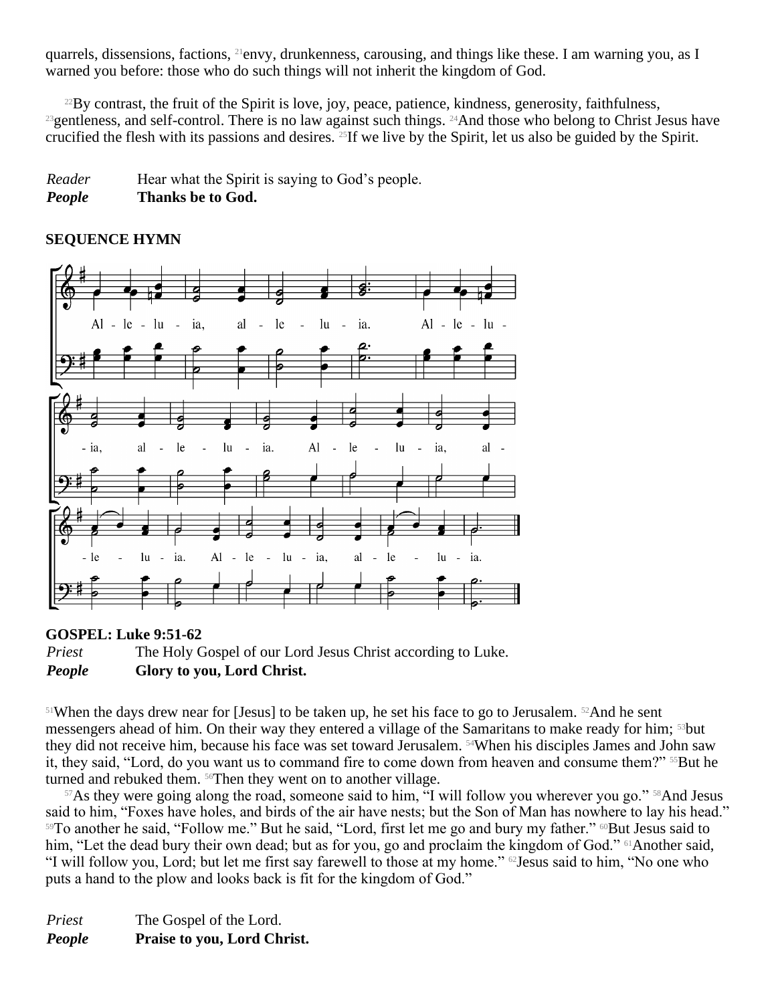quarrels, dissensions, factions, 21envy, drunkenness, carousing, and things like these. I am warning you, as I warned you before: those who do such things will not inherit the kingdom of God.

 $^{22}$ By contrast, the fruit of the Spirit is love, joy, peace, patience, kindness, generosity, faithfulness,  $^{23}$ gentleness, and self-control. There is no law against such things.  $^{24}$ And those who belong to Christ Jesus have crucified the flesh with its passions and desires. 25If we live by the Spirit, let us also be guided by the Spirit.

*Reader* Hear what the Spirit is saying to God's people. *People* **Thanks be to God.**

## **SEQUENCE HYMN**



## **GOSPEL: Luke 9:51-62**

<sup>51</sup>When the days drew near for [Jesus] to be taken up, he set his face to go to Jerusalem. <sup>52</sup>And he sent messengers ahead of him. On their way they entered a village of the Samaritans to make ready for him; 53but they did not receive him, because his face was set toward Jerusalem. 54When his disciples James and John saw it, they said, "Lord, do you want us to command fire to come down from heaven and consume them?" <sup>55</sup>But he turned and rebuked them. <sup>56</sup>Then they went on to another village.

57As they were going along the road, someone said to him, "I will follow you wherever you go." <sup>58</sup>And Jesus said to him, "Foxes have holes, and birds of the air have nests; but the Son of Man has nowhere to lay his head." 59To another he said, "Follow me." But he said, "Lord, first let me go and bury my father." <sup>60</sup>But Jesus said to him, "Let the dead bury their own dead; but as for you, go and proclaim the kingdom of God." <sup>61</sup>Another said, "I will follow you, Lord; but let me first say farewell to those at my home." <sup>62</sup>Jesus said to him, "No one who puts a hand to the plow and looks back is fit for the kingdom of God."

*Priest* The Gospel of the Lord. *People* **Praise to you, Lord Christ.**

*Priest* The Holy Gospel of our Lord Jesus Christ according to Luke. *People* **Glory to you, Lord Christ.**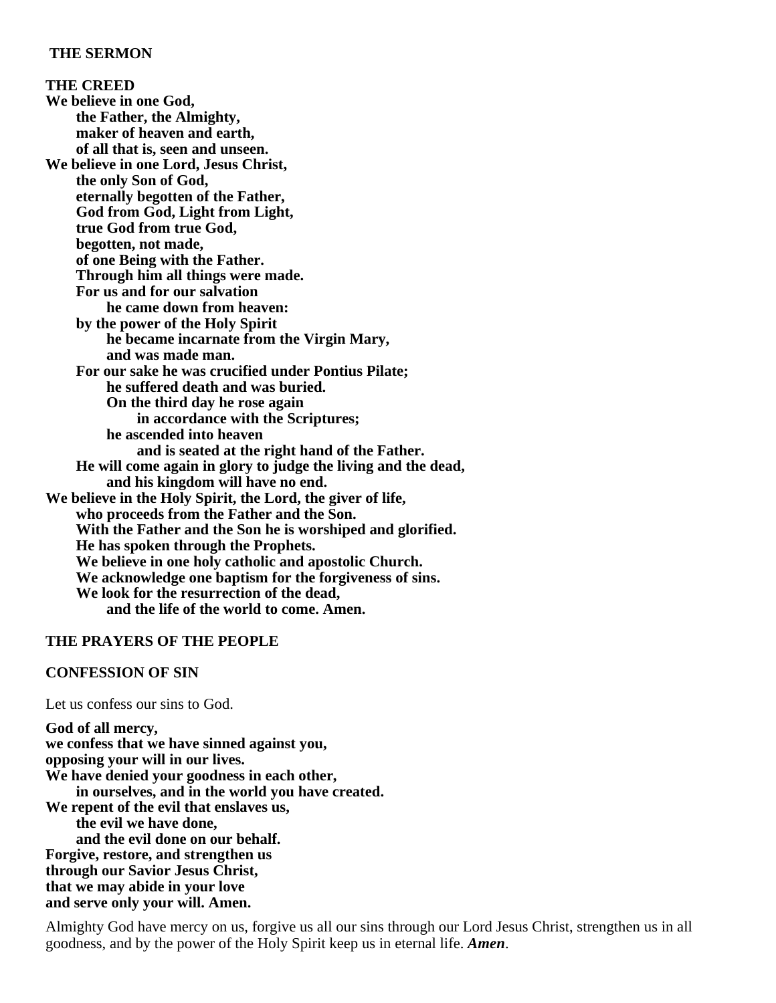**THE CREED We believe in one God, the Father, the Almighty, maker of heaven and earth, of all that is, seen and unseen. We believe in one Lord, Jesus Christ, the only Son of God, eternally begotten of the Father, God from God, Light from Light, true God from true God, begotten, not made, of one Being with the Father. Through him all things were made. For us and for our salvation he came down from heaven: by the power of the Holy Spirit he became incarnate from the Virgin Mary, and was made man. For our sake he was crucified under Pontius Pilate; he suffered death and was buried. On the third day he rose again in accordance with the Scriptures; he ascended into heaven and is seated at the right hand of the Father. He will come again in glory to judge the living and the dead, and his kingdom will have no end. We believe in the Holy Spirit, the Lord, the giver of life, who proceeds from the Father and the Son. With the Father and the Son he is worshiped and glorified. He has spoken through the Prophets. We believe in one holy catholic and apostolic Church. We acknowledge one baptism for the forgiveness of sins. We look for the resurrection of the dead, and the life of the world to come. Amen.**

## **THE PRAYERS OF THE PEOPLE**

#### **CONFESSION OF SIN**

Let us confess our sins to God.

**God of all mercy, we confess that we have sinned against you, opposing your will in our lives. We have denied your goodness in each other, in ourselves, and in the world you have created. We repent of the evil that enslaves us, the evil we have done, and the evil done on our behalf. Forgive, restore, and strengthen us through our Savior Jesus Christ, that we may abide in your love and serve only your will. Amen.**

Almighty God have mercy on us, forgive us all our sins through our Lord Jesus Christ, strengthen us in all goodness, and by the power of the Holy Spirit keep us in eternal life. *Amen*.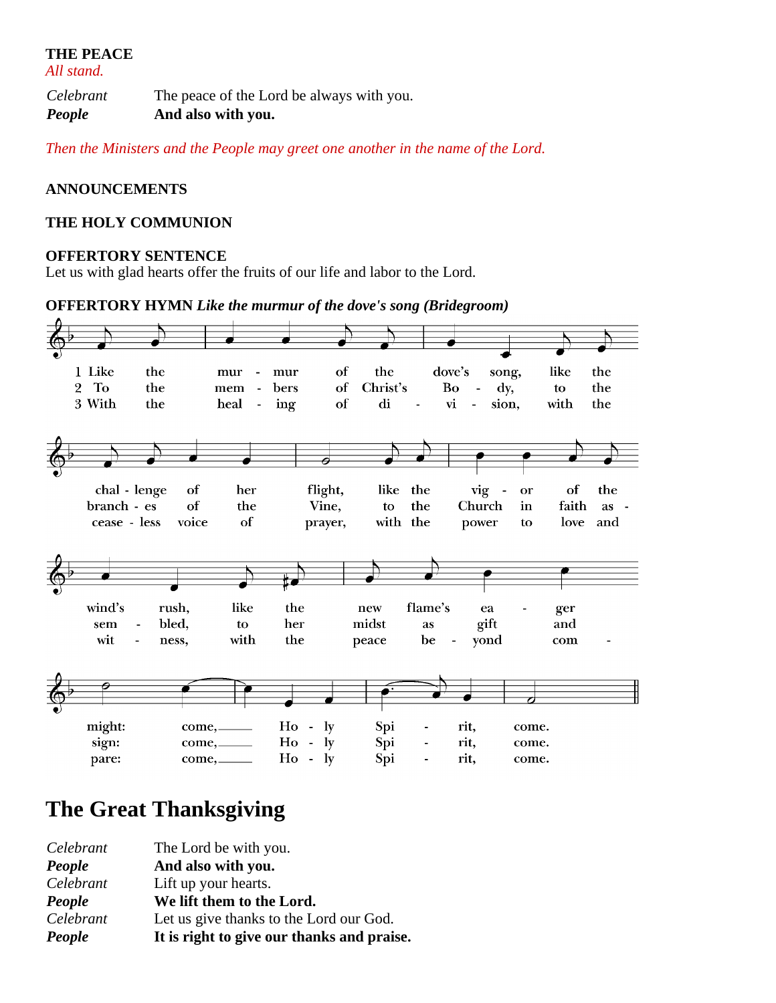## **THE PEACE**

*All stand.*

*Celebrant* The peace of the Lord be always with you. *People* **And also with you.**

*Then the Ministers and the People may greet one another in the name of the Lord.*

## **ANNOUNCEMENTS**

#### **THE HOLY COMMUNION**

#### **OFFERTORY SENTENCE**

Let us with glad hearts offer the fruits of our life and labor to the Lord.

#### **OFFERTORY HYMN** *Like the murmur of the dove's song (Bridegroom)*



## **The Great Thanksgiving**

| Celebrant | The Lord be with you.                      |
|-----------|--------------------------------------------|
| People    | And also with you.                         |
| Celebrant | Lift up your hearts.                       |
| People    | We lift them to the Lord.                  |
| Celebrant | Let us give thanks to the Lord our God.    |
| People    | It is right to give our thanks and praise. |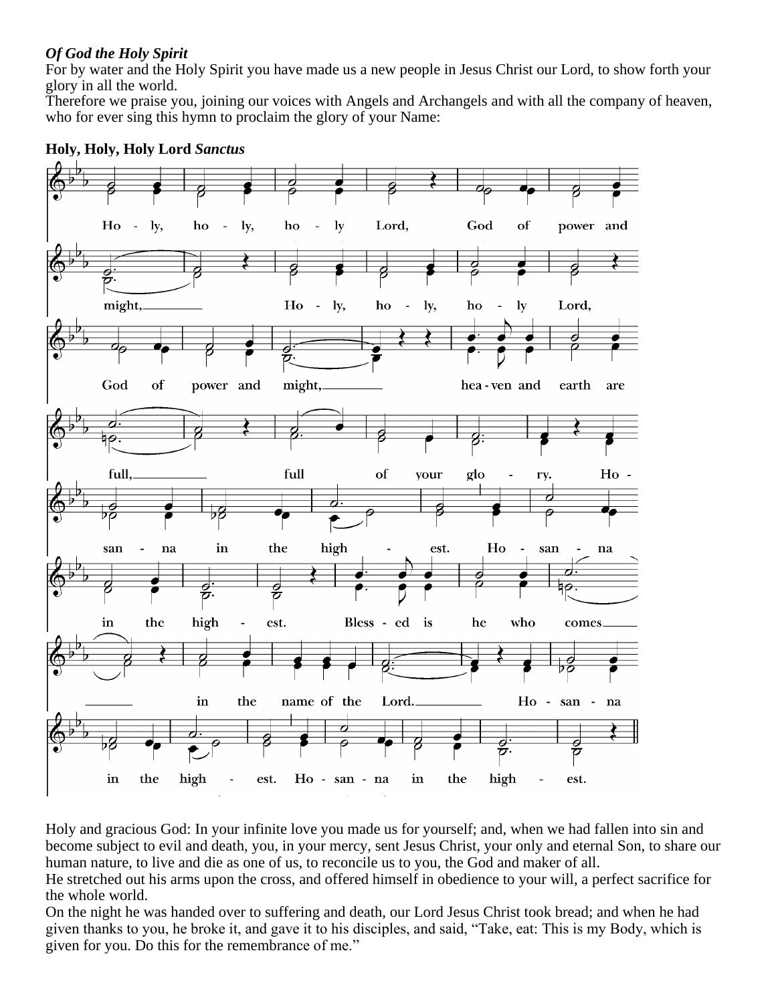## *Of God the Holy Spirit*

For by water and the Holy Spirit you have made us a new people in Jesus Christ our Lord, to show forth your glory in all the world.

Therefore we praise you, joining our voices with Angels and Archangels and with all the company of heaven, who for ever sing this hymn to proclaim the glory of your Name:

## **Holy, Holy, Holy Lord** *Sanctus*



Holy and gracious God: In your infinite love you made us for yourself; and, when we had fallen into sin and become subject to evil and death, you, in your mercy, sent Jesus Christ, your only and eternal Son, to share our human nature, to live and die as one of us, to reconcile us to you, the God and maker of all.

He stretched out his arms upon the cross, and offered himself in obedience to your will, a perfect sacrifice for the whole world.

On the night he was handed over to suffering and death, our Lord Jesus Christ took bread; and when he had given thanks to you, he broke it, and gave it to his disciples, and said, "Take, eat: This is my Body, which is given for you. Do this for the remembrance of me."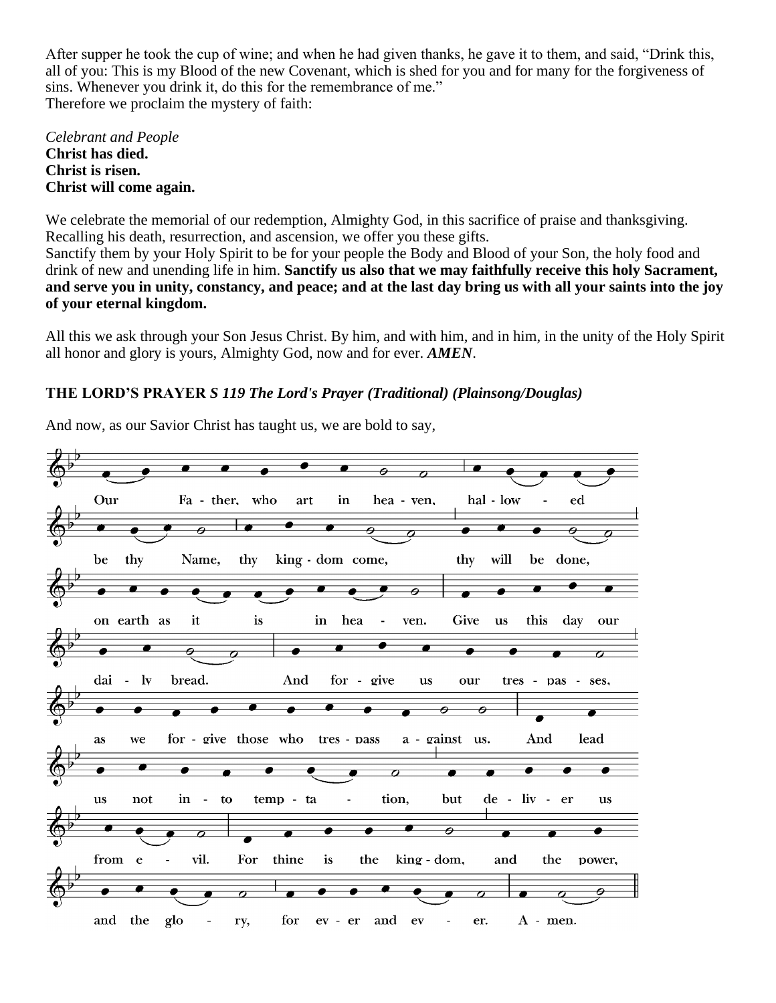After supper he took the cup of wine; and when he had given thanks, he gave it to them, and said, "Drink this, all of you: This is my Blood of the new Covenant, which is shed for you and for many for the forgiveness of sins. Whenever you drink it, do this for the remembrance of me." Therefore we proclaim the mystery of faith:

*Celebrant and People*  **Christ has died. Christ is risen. Christ will come again.**

We celebrate the memorial of our redemption, Almighty God, in this sacrifice of praise and thanksgiving. Recalling his death, resurrection, and ascension, we offer you these gifts. Sanctify them by your Holy Spirit to be for your people the Body and Blood of your Son, the holy food and drink of new and unending life in him. **Sanctify us also that we may faithfully receive this holy Sacrament, and serve you in unity, constancy, and peace; and at the last day bring us with all your saints into the joy of your eternal kingdom.**

All this we ask through your Son Jesus Christ. By him, and with him, and in him, in the unity of the Holy Spirit all honor and glory is yours, Almighty God, now and for ever. *AMEN*.

## **THE LORD'S PRAYER** *S 119 The Lord's Prayer (Traditional) (Plainsong/Douglas)*

And now, as our Savior Christ has taught us, we are bold to say,

|                                     | $\bullet$<br>$\bullet$ $\overline{\phantom{a}}$<br>$\bullet$ $\bullet$<br>$\overline{\bullet}$<br>$\sigma$              |
|-------------------------------------|-------------------------------------------------------------------------------------------------------------------------|
|                                     | Our<br>Fa - ther, who<br>in<br>hea - ven,<br>hal - low<br>art<br>ed<br>$\blacksquare$                                   |
| $\overline{\Phi}$                   | $\bullet$<br>$\overline{\boldsymbol{\sigma}}$<br>∙<br>$\overline{\bullet}$<br>θ<br>$\sigma$                             |
|                                     | thy<br>Name, thy king - dom come,<br>thy will<br>be<br>be done,                                                         |
| $\overline{\Phi}$                   | $\boldsymbol{\varphi}$                                                                                                  |
|                                     | is<br>Give<br>this day<br>on earth as<br>it<br>hea<br>$\mathbf{in}$<br>ven.<br>us<br>our<br>$\blacksquare$              |
| $\overrightarrow{\mathbf{\hat{e}}}$ | ∙<br>$\bullet$<br>$\bullet$                                                                                             |
|                                     | $\boldsymbol{\theta}$<br>$\sigma$                                                                                       |
|                                     | dai - ly<br>And<br>bread.<br>for - give<br><b>us</b><br>tres - pas - ses,<br>our                                        |
| 专                                   | $\bullet$<br>$\bullet$ $\qquad$<br>$\overline{\bullet}$<br>$\bullet$<br>$\boldsymbol{\varphi}$<br>$\boldsymbol{\theta}$ |
|                                     | for - give those who tres - pass<br>a - gainst us.<br>And<br>lead<br><b>as</b><br>we                                    |
| €                                   | $\sigma$<br>$\overline{\bullet}$<br>$\bullet$                                                                           |
|                                     | de - liv - er<br>$\sin$ - to<br>tion,<br>but<br>temp - ta<br>not<br><b>us</b><br><b>State State</b><br><b>us</b>        |
| $\overline{\Phi}$                   | $\overline{\boldsymbol{\sigma}}$<br>$\overline{\phantom{a}}$                                                            |
|                                     | thine<br>from e<br>vil.<br>For<br>is<br>the<br>king - dom,<br>the<br>and<br>$\blacksquare$<br>power,                    |
| 奇                                   | O<br>$\sigma$<br>$\bullet$<br>$\sigma$                                                                                  |
|                                     | $for$ $ev$ - $er$<br>and the<br>$g$ lo -<br>and ev<br>$A - men$ .<br>ry,<br>$\overline{\phantom{a}}$<br>er.             |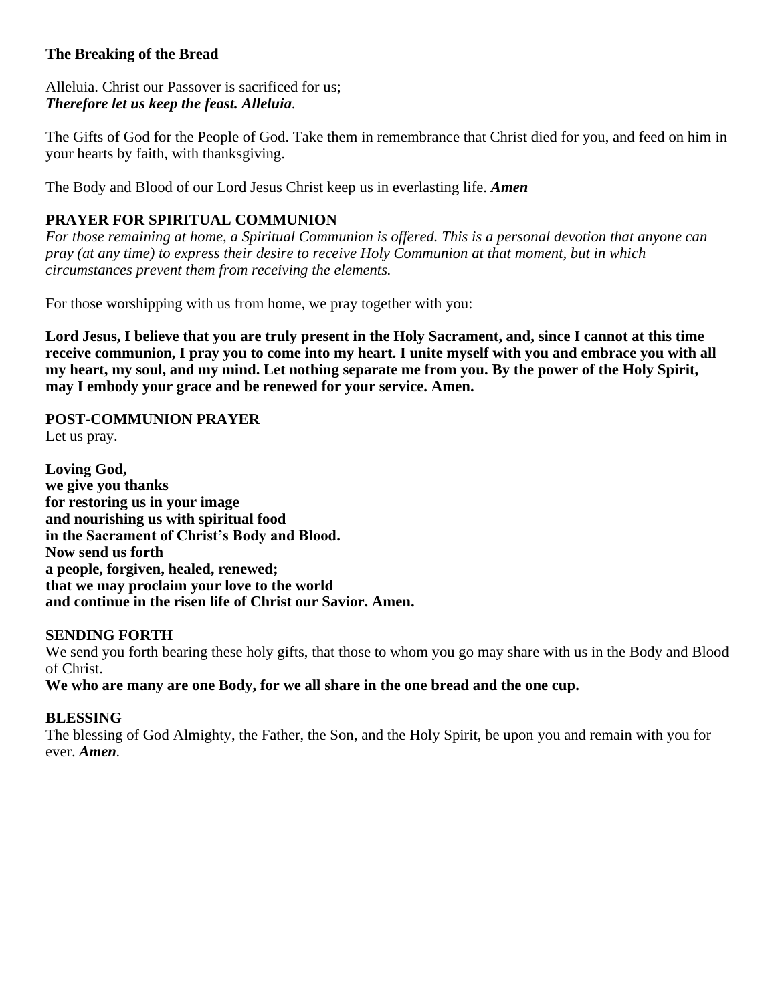## **The Breaking of the Bread**

Alleluia. Christ our Passover is sacrificed for us; *Therefore let us keep the feast. Alleluia.*

The Gifts of God for the People of God. Take them in remembrance that Christ died for you, and feed on him in your hearts by faith, with thanksgiving.

The Body and Blood of our Lord Jesus Christ keep us in everlasting life. *Amen*

## **PRAYER FOR SPIRITUAL COMMUNION**

*For those remaining at home, a Spiritual Communion is offered. This is a personal devotion that anyone can pray (at any time) to express their desire to receive Holy Communion at that moment, but in which circumstances prevent them from receiving the elements.*

For those worshipping with us from home, we pray together with you:

**Lord Jesus, I believe that you are truly present in the Holy Sacrament, and, since I cannot at this time receive communion, I pray you to come into my heart. I unite myself with you and embrace you with all my heart, my soul, and my mind. Let nothing separate me from you. By the power of the Holy Spirit, may I embody your grace and be renewed for your service. Amen.**

**POST-COMMUNION PRAYER** Let us pray.

**Loving God, we give you thanks for restoring us in your image and nourishing us with spiritual food in the Sacrament of Christ's Body and Blood. Now send us forth a people, forgiven, healed, renewed; that we may proclaim your love to the world and continue in the risen life of Christ our Savior. Amen.**

## **SENDING FORTH**

We send you forth bearing these holy gifts, that those to whom you go may share with us in the Body and Blood of Christ.

**We who are many are one Body, for we all share in the one bread and the one cup.**

## **BLESSING**

The blessing of God Almighty, the Father, the Son, and the Holy Spirit, be upon you and remain with you for ever. *Amen.*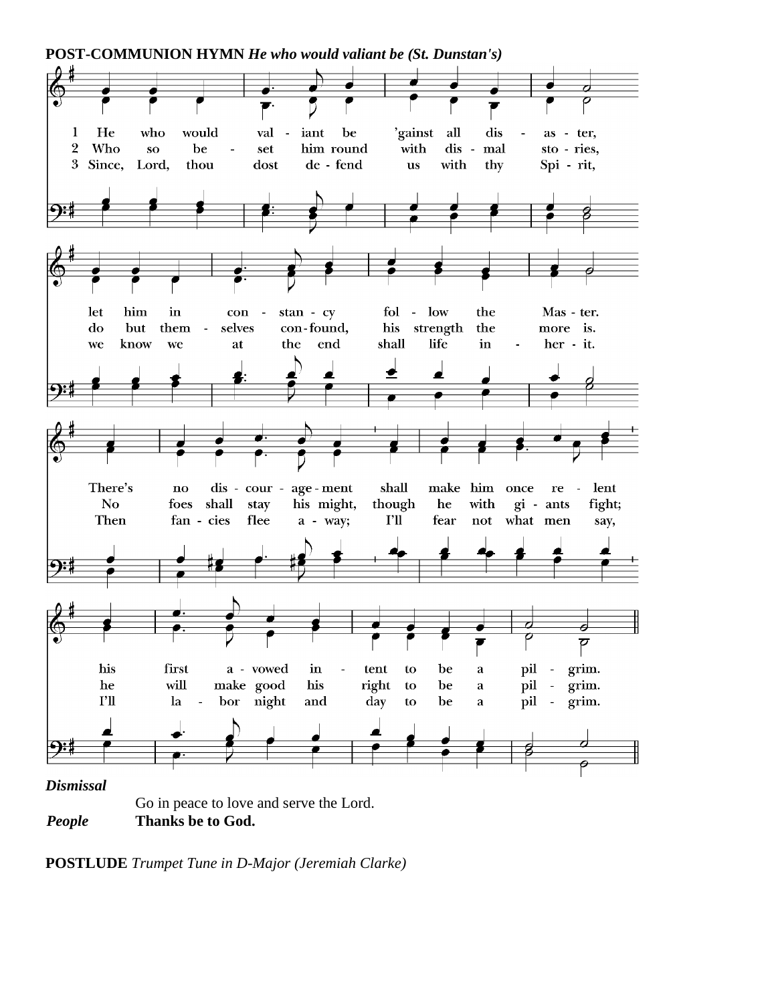

*People* **Thanks be to God.**

**POSTLUDE** *Trumpet Tune in D-Major (Jeremiah Clarke)*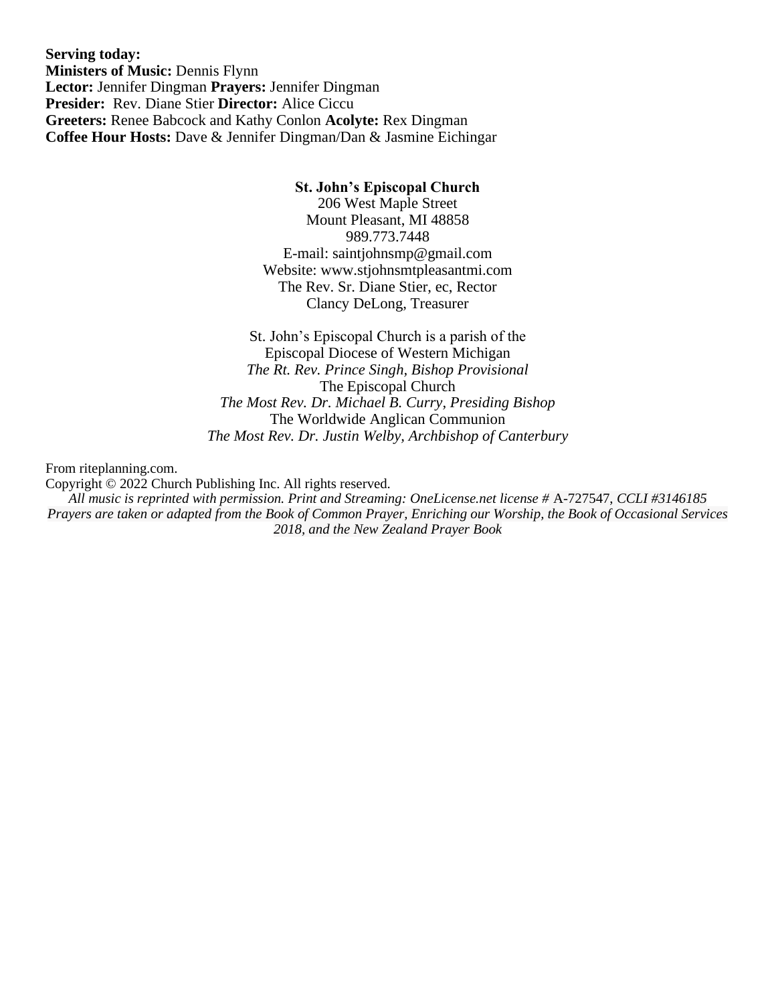**Serving today: Ministers of Music:** Dennis Flynn **Lector:** Jennifer Dingman **Prayers:** Jennifer Dingman **Presider:** Rev. Diane Stier **Director:** Alice Ciccu **Greeters:** Renee Babcock and Kathy Conlon **Acolyte:** Rex Dingman **Coffee Hour Hosts:** Dave & Jennifer Dingman/Dan & Jasmine Eichingar

#### **St. John's Episcopal Church**

206 West Maple Street Mount Pleasant, MI 48858 989.773.7448 E-mail: saintjohnsmp@gmail.com Website: www.stjohnsmtpleasantmi.com The Rev. Sr. Diane Stier, ec, Rector Clancy DeLong, Treasurer

St. John's Episcopal Church is a parish of the Episcopal Diocese of Western Michigan *The Rt. Rev. Prince Singh, Bishop Provisional* The Episcopal Church *The Most Rev. Dr. Michael B. Curry, Presiding Bishop* The Worldwide Anglican Communion *The Most Rev. Dr. Justin Welby, Archbishop of Canterbury*

From riteplanning.com.

Copyright © 2022 Church Publishing Inc. All rights reserved.

*All music is reprinted with permission. Print and Streaming: OneLicense.net license #* A-727547, *CCLI #3146185 Prayers are taken or adapted from the Book of Common Prayer, Enriching our Worship, the Book of Occasional Services 2018, and the New Zealand Prayer Book*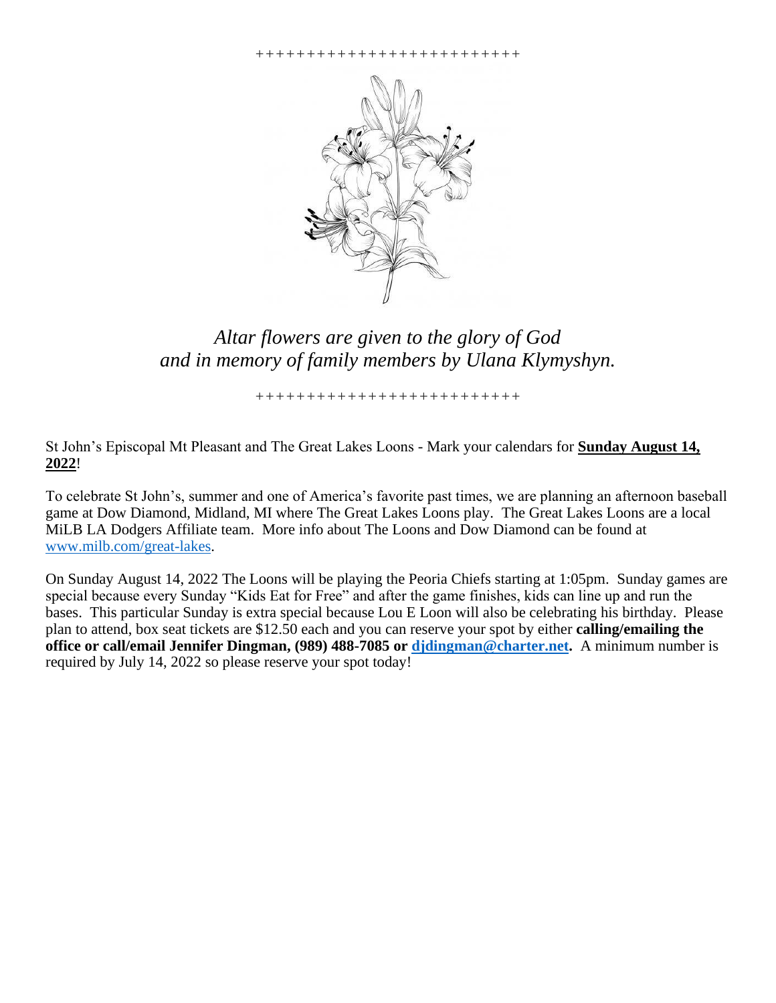

## *Altar flowers are given to the glory of God and in memory of family members by Ulana Klymyshyn.*

*++++++++++++++++++++++++++*

St John's Episcopal Mt Pleasant and The Great Lakes Loons - Mark your calendars for **Sunday August 14, 2022**!

To celebrate St John's, summer and one of America's favorite past times, we are planning an afternoon baseball game at Dow Diamond, Midland, MI where The Great Lakes Loons play. The Great Lakes Loons are a local MiLB LA Dodgers Affiliate team. More info about The Loons and Dow Diamond can be found at [www.milb.com/great-lakes.](http://www.milb.com/great-lakes)

On Sunday August 14, 2022 The Loons will be playing the Peoria Chiefs starting at 1:05pm. Sunday games are special because every Sunday "Kids Eat for Free" and after the game finishes, kids can line up and run the bases. This particular Sunday is extra special because Lou E Loon will also be celebrating his birthday. Please plan to attend, box seat tickets are \$12.50 each and you can reserve your spot by either **calling/emailing the office or call/email Jennifer Dingman, (989) 488-7085 or [djdingman@charter.net.](mailto:djdingman@charter.net)** A minimum number is required by July 14, 2022 so please reserve your spot today!